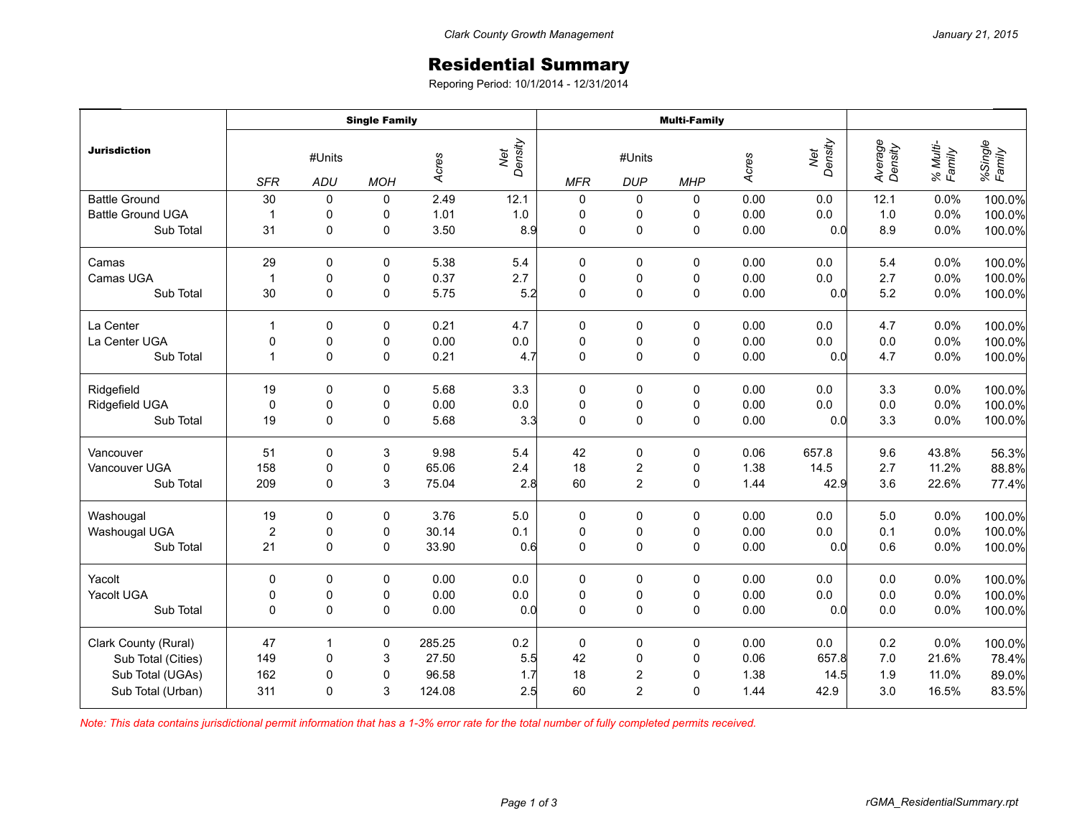## Residential Summary

Reporing Period: 10/1/2014 - 12/31/2014

| <b>Jurisdiction</b>      | <b>Single Family</b>               |             |            |        |                | <b>Multi-Family</b> |                      |             |       |                |                    |                    |                   |
|--------------------------|------------------------------------|-------------|------------|--------|----------------|---------------------|----------------------|-------------|-------|----------------|--------------------|--------------------|-------------------|
|                          | #Units<br><b>SFR</b><br><b>ADU</b> |             | <b>MOH</b> | Acres  | Net<br>Density | <b>MFR</b>          | #Units<br><b>DUP</b> | <b>MHP</b>  | Acres | Net<br>Density | Average<br>Density | % Multi-<br>Family | %Single<br>Family |
| <b>Battle Ground</b>     | 30                                 | $\pmb{0}$   | 0          | 2.49   | 12.1           | $\pmb{0}$           | 0                    | 0           | 0.00  | 0.0            | 12.1               | 0.0%               | 100.0%            |
| <b>Battle Ground UGA</b> | $\overline{1}$                     | 0           | 0          | 1.01   | $1.0\,$        | $\pmb{0}$           | 0                    | 0           | 0.00  | 0.0            | 1.0                | 0.0%               | 100.0%            |
| Sub Total                | 31                                 | $\mathbf 0$ | 0          | 3.50   | 8.9            | 0                   | 0                    | $\mathbf 0$ | 0.00  | 0.0            | 8.9                | 0.0%               | 100.0%            |
| Camas                    | 29                                 | 0           | 0          | 5.38   | 5.4            | 0                   | 0                    | 0           | 0.00  | 0.0            | 5.4                | 0.0%               | 100.0%            |
| Camas UGA                | $\overline{1}$                     | $\pmb{0}$   | 0          | 0.37   | 2.7            | $\mathbf 0$         | $\mathbf 0$          | $\pmb{0}$   | 0.00  | $0.0\,$        | 2.7                | 0.0%               | 100.0%            |
| Sub Total                | 30                                 | $\mathbf 0$ | 0          | 5.75   | 5.2            | $\mathbf 0$         | $\mathsf 0$          | $\mathbf 0$ | 0.00  | 0.0            | 5.2                | 0.0%               | 100.0%            |
| La Center                | 1                                  | $\mathbf 0$ | 0          | 0.21   | 4.7            | 0                   | 0                    | 0           | 0.00  | 0.0            | 4.7                | 0.0%               | 100.0%            |
| La Center UGA            | 0                                  | $\pmb{0}$   | 0          | 0.00   | $0.0\,$        | $\pmb{0}$           | $\pmb{0}$            | 0           | 0.00  | $0.0\,$        | 0.0                | 0.0%               | 100.0%            |
| Sub Total                | $\overline{1}$                     | 0           | 0          | 0.21   | 4.7            | $\mathbf 0$         | $\mathsf 0$          | 0           | 0.00  | 0.0            | 4.7                | 0.0%               | 100.0%            |
| Ridgefield               | 19                                 | 0           | 0          | 5.68   | 3.3            | 0                   | 0                    | 0           | 0.00  | 0.0            | 3.3                | 0.0%               | 100.0%            |
| Ridgefield UGA           | $\mathbf 0$                        | 0           | 0          | 0.00   | $0.0\,$        | $\pmb{0}$           | $\pmb{0}$            | 0           | 0.00  | 0.0            | 0.0                | 0.0%               | 100.0%            |
| Sub Total                | 19                                 | 0           | 0          | 5.68   | 3.3            | $\mathbf 0$         | $\pmb{0}$            | 0           | 0.00  | 0.0            | 3.3                | 0.0%               | 100.0%            |
| Vancouver                | 51                                 | $\mathbf 0$ | 3          | 9.98   | 5.4            | 42                  | 0                    | 0           | 0.06  | 657.8          | 9.6                | 43.8%              | 56.3%             |
| Vancouver UGA            | 158                                | 0           | 0          | 65.06  | 2.4            | 18                  | $\boldsymbol{2}$     | $\pmb{0}$   | 1.38  | 14.5           | 2.7                | 11.2%              | 88.8%             |
| Sub Total                | 209                                | 0           | 3          | 75.04  | 2.8            | 60                  | $\overline{2}$       | $\mathbf 0$ | 1.44  | 42.9           | 3.6                | 22.6%              | 77.4%             |
| Washougal                | 19                                 | 0           | 0          | 3.76   | 5.0            | $\pmb{0}$           | 0                    | 0           | 0.00  | 0.0            | 5.0                | 0.0%               | 100.0%            |
| Washougal UGA            | $\overline{2}$                     | 0           | 0          | 30.14  | 0.1            | $\pmb{0}$           | $\pmb{0}$            | 0           | 0.00  | 0.0            | 0.1                | 0.0%               | 100.0%            |
| Sub Total                | 21                                 | $\Omega$    | 0          | 33.90  | 0.6            | $\Omega$            | 0                    | 0           | 0.00  | 0.0            | 0.6                | 0.0%               | 100.0%            |
| Yacolt                   | 0                                  | 0           | 0          | 0.00   | 0.0            | 0                   | $\pmb{0}$            | $\pmb{0}$   | 0.00  | 0.0            | 0.0                | 0.0%               | 100.0%            |
| Yacolt UGA               | $\pmb{0}$                          | 0           | 0          | 0.00   | $0.0\,$        | $\pmb{0}$           | $\pmb{0}$            | $\pmb{0}$   | 0.00  | $0.0\,$        | $0.0\,$            | 0.0%               | 100.0%            |
| Sub Total                | $\Omega$                           | $\Omega$    | 0          | 0.00   | 0.0            | $\Omega$            | 0                    | $\Omega$    | 0.00  | 0.0            | 0.0                | 0.0%               | 100.0%            |
| Clark County (Rural)     | 47                                 | -1          | 0          | 285.25 | 0.2            | $\pmb{0}$           | 0                    | 0           | 0.00  | 0.0            | 0.2                | 0.0%               | 100.0%            |
| Sub Total (Cities)       | 149                                | 0           | 3          | 27.50  | 5.5            | 42                  | $\pmb{0}$            | 0           | 0.06  | 657.8          | 7.0                | 21.6%              | 78.4%             |
| Sub Total (UGAs)         | 162                                | 0           | 0          | 96.58  | 1.7            | 18                  | $\sqrt{2}$           | $\pmb{0}$   | 1.38  | 14.5           | 1.9                | 11.0%              | 89.0%             |
| Sub Total (Urban)        | 311                                | $\Omega$    | 3          | 124.08 | 2.5            | 60                  | $\overline{2}$       | $\mathbf 0$ | 1.44  | 42.9           | 3.0                | 16.5%              | 83.5%             |

*Note: This data contains jurisdictional permit information that has a 1-3% error rate for the total number of fully completed permits received.*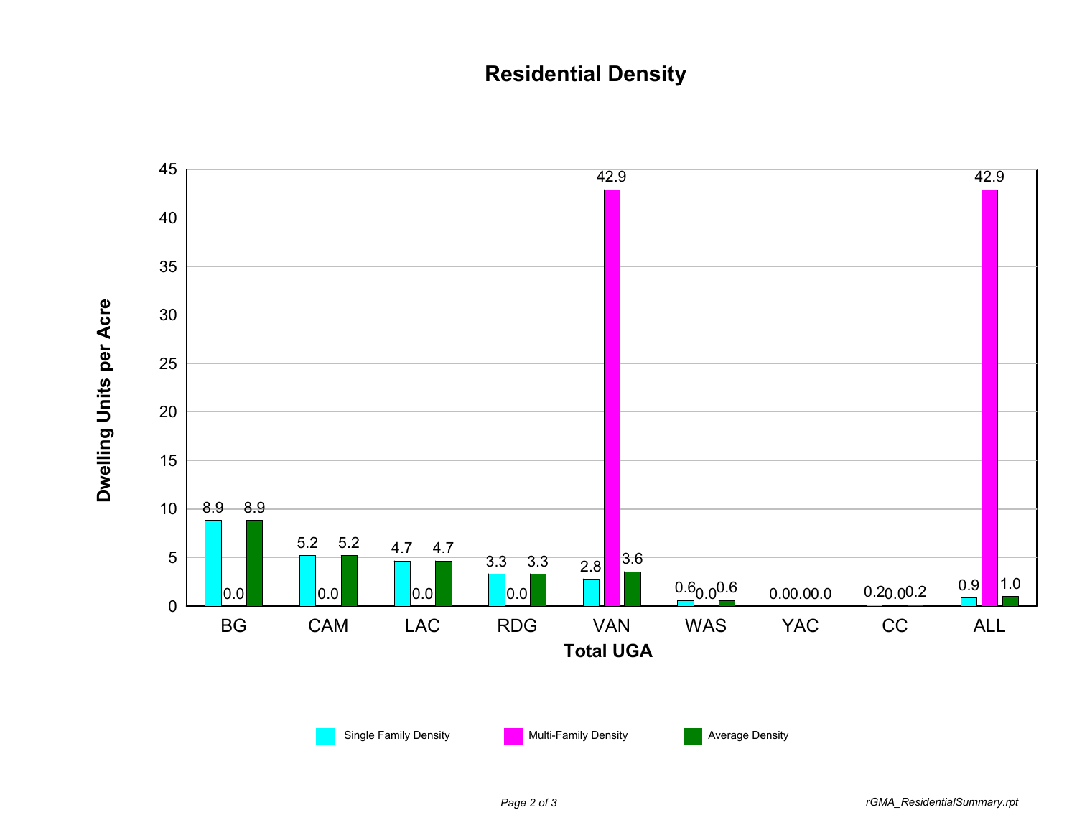## **Residential Density**